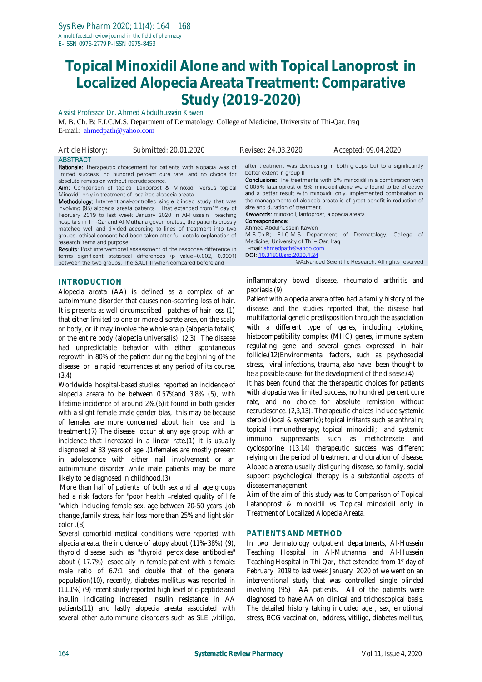# **Topical Minoxidil Alone and with Topical Lanoprost in Localized Alopecia Areata Treatment: Comparative Study (2019-2020)**

Assist Professor Dr. Ahmed Abdulhussein Kawen

M. B. Ch. B; F.I.C.M.S. Department of Dermatology, College of Medicine, University of Thi-Qar, Iraq E-mail: [ahmedpath@yahoo.com](mailto:ahmedpath@yahoo.com)

| Article History: | Submitted: 20.01.2020                                                      | <i>Revised: 24.03.2020</i> | Accepted: 09.04.2020                                       |
|------------------|----------------------------------------------------------------------------|----------------------------|------------------------------------------------------------|
| <b>ABSTRACT</b>  |                                                                            |                            |                                                            |
|                  | <b>Rationale:</b> Therapeutic choicement for patients with alopacia was of |                            | after treatment was decreasing in both groups but to a sig |

limited success, no hundred percent cure rate, and no choice for absolute remission without recrudescence.

Aim: Comparison of topical Lanoprost & Minoxidil versus topical Minoxidil only in treatment of localized alopecia areata.

Methodology: Interventional-controlled single blinded study that was involving (95) alopecia areata patients. That extended from1st day of February 2019 to last week January 2020 In Al-Hussain teaching hospitals in Thi-Qar and Al-Muthana governorates., the patients crossly matched well and divided according to lines of treatment into two groups. ethical consent had been taken after full details explanation of research items and purpose.

Results: Post interventional assessment of the response difference in terms significant statistical differences (p value=0.002, 0.0001) between the two groups. The SALT II when compared before and

## **INTRODUCTION**

Alopecia areata (AA) is defined as a complex of an autoimmune disorder that causes non-scarring loss of hair. It is presents as well circumscribed patches of hair loss (1) that either limited to one or more discrete area, on the scalp or body, or it may involve the whole scalp (alopecia totalis) or the entire body (alopecia universalis). (2,3) The disease had unpredictable behavior with either spontaneous regrowth in 80% of the patient during the beginning of the disease or a rapid recurrences at any period of its course. (3,4)

Worldwide hospital-based studies reported an incidence of alopecia areata to be between 0.57%and 3.8% (5), with lifetime incidence of around 2%.(6)it found in both gender with a slight female :male gender bias, this may be because of females are more concerned about hair loss and its treatment.(7) The disease occur at any age group with an incidence that increased in a linear rate.(1) it is usually diagnosed at 33 years of age .(1)females are mostly present in adolescence with either nail involvement or an autoimmune disorder while male patients may be more likely to be diagnosed in childhood.(3)

More than half of patients of both sex and all age groups had a risk factors for "poor health -related quality of life "which including female sex, age between 20-50 years ,job change ,family stress, hair loss more than 25% and light skin color .(8)

Several comorbid medical conditions were reported with alpacia areata, the incidence of atopy about (11%-38%) (9), thyroid disease such as "thyroid peroxidase antibodies" about ( 17.7%), especially in female patient with a female: male ratio of 6.7:1 and double that of the general population(10), recently, diabetes mellitus was reported in (11.1%) (9) recent study reported high level of c-peptide and insulin indicating increased insulin resistance in AA patients(11) and lastly alopecia areata associated with several other autoimmune disorders such as SLE ,vitiligo,

but to a significantly better extent in group II

Conclusions: The treatments with 5% minoxidil in a combination with 0.005% latanoprost or 5% minoxidil alone were found to be effective and a better result with minoxidil only. implemented combination in the managements of alopecia areata is of great benefit in reduction of size and duration of treatment.

Keywords: minoxidil, lantoprost, alopecia areata

Correspondence: Ahmed Abdulhussein Kawen

M.B.Ch.B; F.I.C.M.S Department of Dermatology, College of Medicine, University of Thi – Qar, Iraq

E-mail: [ahmedpath@yahoo.com](mailto:ahmedpath@yahoo.com) DOI: [10.31838/srp.2020.4.24](http://dx.doi.org/10.5530/srp.2019.2.04)

@Advanced Scientific Research. All rights reserved

inflammatory bowel disease, rheumatoid arthritis and psoriasis.(9)

Patient with alopecia areata often had a family history of the disease, and the studies reported that, the disease had multifactorial genetic predisposition through the association with a different type of genes, including cytokine, histocompatibility complex (MHC) genes, immune system regulating gene and several genes expressed in hair follicle.(12)Environmental factors, such as psychosocial stress, viral infections, trauma, also have been thought to be a possible cause for the development of the disease.(4)

It has been found that the therapeutic choices for patients with alopacia was limited success, no hundred percent cure rate, and no choice for absolute remission without recrudescnce. (2,3,13). Therapeutic choices include systemic steroid (local & systemic); topical irritants such as anthralin; topical immunotherapy; topical minoxidil; and systemic immuno suppressants such as methotrexate and cyclosporine (13,14) therapeutic success was different relying on the period of treatment and duration of disease. Alopacia areata usually disfiguring disease, so family, social support psychological therapy is a substantial aspects of disease management.

Aim of the aim of this study was to Comparison of Topical Latanoprost & minoxidil vs Topical minoxidil only in Treatment of Localized Alopecia Areata.

### **PATIENTS AND METHOD**

In two dermatology outpatient departments, Al-Hussein Teaching Hospital in Al-Muthanna and Al-Hussein Teaching Hospital in Thi Qar, that extended from 1<sup>st</sup> day of February 2019 to last week January 2020 of we went on an interventional study that was controlled single blinded involving (95) AA patients. All of the patients were diagnosed to have AA on clinical and trichoscopical basis. The detailed history taking included age , sex, emotional stress, BCG vaccination, address, vitiligo, diabetes mellitus,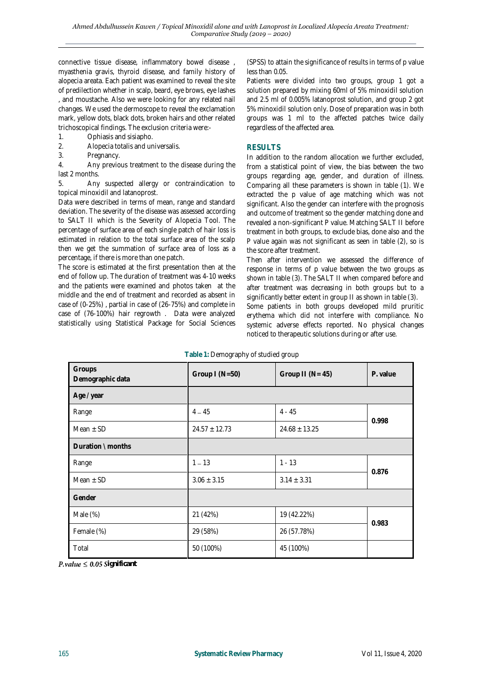connective tissue disease, inflammatory bowel disease , myasthenia gravis, thyroid disease, and family history of alopecia areata. Each patient was examined to reveal the site of predilection whether in scalp, beard, eye brows, eye lashes , and moustache. Also we were looking for any related nail changes. We used the dermoscope to reveal the exclamation mark, yellow dots, black dots, broken hairs and other related trichoscopical findings. The exclusion criteria were:-

- 1. Ophiasis and sisiapho.
- 2. Alopecia totalis and universalis.<br>3. Pregnancy.
- Pregnancy.

4. Any previous treatment to the disease during the last 2 months.

5. Any suspected allergy or contraindication to topical minoxidil and latanoprost.

Data were described in terms of mean, range and standard deviation. The severity of the disease was assessed according to SALT II which is the Severity of Alopecia Tool. The percentage of surface area of each single patch of hair loss is estimated in relation to the total surface area of the scalp then we get the summation of surface area of loss as a percentage, if there is more than one patch.

The score is estimated at the first presentation then at the end of follow up. The duration of treatment was 4-10 weeks and the patients were examined and photos taken at the middle and the end of treatment and recorded as absent in case of (0-25%) , partial in case of (26-75%) and complete in case of (76-100%) hair regrowth . Data were analyzed statistically using Statistical Package for Social Sciences

(SPSS) to attain the significance of results in terms of p value less than 0.05.

Patients were divided into two groups, group 1 got a solution prepared by mixing 60ml of 5% minoxidil solution and 2.5 ml of 0.005% latanoprost solution, and group 2 got 5% minoxidil solution only. Dose of preparation was in both groups was 1 ml to the affected patches twice daily regardless of the affected area.

## **RESULTS**

In addition to the random allocation we further excluded, from a statistical point of view, the bias between the two groups regarding age, gender, and duration of illness. Comparing all these parameters is shown in table (1). We extracted the p value of age matching which was not significant. Also the gender can interfere with the prognosis and outcome of treatment so the gender matching done and revealed a non-significant P value. Matching SALT II before treatment in both groups, to exclude bias, done also and the P value again was not significant as seen in table (2), so is the score after treatment.

Then after intervention we assessed the difference of response in terms of p value between the two groups as shown in table (3). The SALT II when compared before and after treatment was decreasing in both groups but to a significantly better extent in group II as shown in table (3). Some patients in both groups developed mild pruritic erythema which did not interfere with compliance. No systemic adverse effects reported. No physical changes noticed to therapeutic solutions during or after use.

| Groups<br>Demographic data | Group $I(N=50)$   | Group II ( $N = 45$ ) | P. value |  |
|----------------------------|-------------------|-----------------------|----------|--|
| Age / year                 |                   |                       |          |  |
| Range                      | $4 - 45$          | $4 - 45$              |          |  |
| Mean $\pm$ SD              | $24.57 \pm 12.73$ | $24.68 \pm 13.25$     | 0.998    |  |
| Duration \ months          |                   |                       |          |  |
| Range                      | $1 - 13$          | $1 - 13$              | 0.876    |  |
| Mean $\pm$ SD              | $3.06 \pm 3.15$   | $3.14 \pm 3.31$       |          |  |
| Gender                     |                   |                       |          |  |
| Male (%)                   | 21 (42%)          | 19 (42.22%)           |          |  |
| Female (%)                 | 29 (58%)          | 26 (57.78%)           | 0.983    |  |
| Total                      | 50 (100%)         | 45 (100%)             |          |  |

**Table 1:** Demography of studied group

 $P-value \leq 0.05$  Significant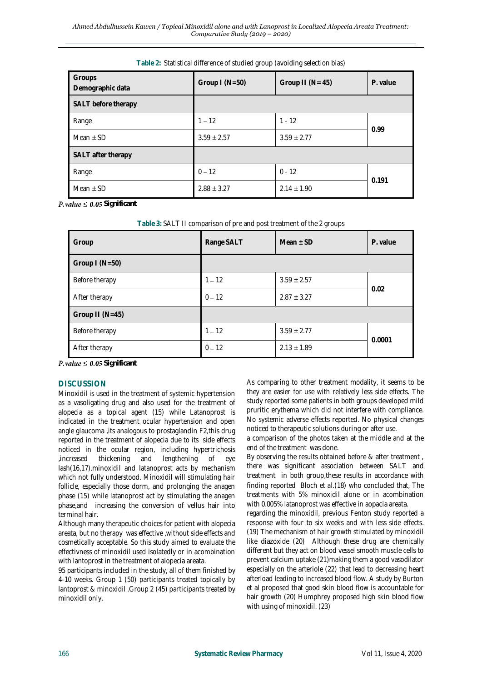| Groups<br>Demographic data | Group $I(N=50)$                    | Group II ( $N = 45$ ) | P. value |  |
|----------------------------|------------------------------------|-----------------------|----------|--|
| SALT before therapy        |                                    |                       |          |  |
| Range                      | $1 - 12$                           | $1 - 12$              | 0.99     |  |
| Mean $\pm$ SD              | $3.59 \pm 2.77$<br>$3.59 \pm 2.57$ |                       |          |  |
| SALT after therapy         |                                    |                       |          |  |
| Range                      | $0 - 12$                           | $0 - 12$              | 0.191    |  |
| Mean $\pm$ SD              | $2.88 \pm 3.27$                    | $2.14 \pm 1.90$       |          |  |

#### **Table 2:** Statistical difference of studied group (avoiding selection bias)

 $P-value \leq 0.05$  Significant

| Table 3: SALT II comparison of pre and post treatment of the 2 groups |  |
|-----------------------------------------------------------------------|--|
|-----------------------------------------------------------------------|--|

| Group           | Range SALT | Mean $\pm$ SD   | P. value |  |
|-----------------|------------|-----------------|----------|--|
| Group $I(N=50)$ |            |                 |          |  |
| Before therapy  | $1 - 12$   | $3.59 \pm 2.57$ | 0.02     |  |
| After therapy   | $0 - 12$   | $2.87 \pm 3.27$ |          |  |
| Group II (N=45) |            |                 |          |  |
| Before therapy  | $1 - 12$   | $3.59 \pm 2.77$ | 0.0001   |  |
| After therapy   | $0 - 12$   | $2.13 \pm 1.89$ |          |  |

 $P-value \leq 0.05$  Significant

# **DISCUSSION**

Minoxidil is used in the treatment of systemic hypertension as a vasoligating drug and also used for the treatment of alopecia as a topical agent (15) while Latanoprost is indicated in the treatment ocular hypertension and open angle glaucoma ,its analogous to prostaglandin F2,this drug reported in the treatment of alopecia due to its side effects noticed in the ocular region, including hypertrichosis ,increased thickening and lengthening of eye lash(16,17).minoxidil and latanoprost acts by mechanism which not fully understood. Minoxidil will stimulating hair follicle, especially those dorm, and prolonging the anagen phase (15) while latanoprost act by stimulating the anagen phase,and increasing the conversion of vellus hair into terminal hair.

Although many therapeutic choices for patient with alopecia areata, but no therapy was effective ,without side effects and cosmetically acceptable. So this study aimed to evaluate the effectivness of minoxidil used isolatedly or in acombination with lantoprost in the treatment of alopecia areata.

95 participants included in the study, all of them finished by 4-10 weeks. Group 1 (50) participants treated topically by lantoprost & minoxidil .Group 2 (45) participants treated by minoxidil only.

As comparing to other treatment modality, it seems to be they are easier for use with relatively less side effects. The study reported some patients in both groups developed mild pruritic erythema which did not interfere with compliance. No systemic adverse effects reported. No physical changes noticed to therapeutic solutions during or after use.

a comparison of the photos taken at the middle and at the end of the treatment was done.

By observing the results obtained before & after treatment , there was significant association between SALT and treatment in both group,these results in accordance with finding reported Bloch *et al.*(18) who concluded that, The treatments with 5% minoxidil alone or in acombination with 0.005% latanoprost was effective in aopacia areata.

regarding the minoxidil, previous Fenton study reported a response with four to six weeks and with less side effects. (19) The mechanism of hair growth stimulated by minoxidil like diazoxide (20) Although these drug are chemically different but they act on blood vessel smooth muscle cells to prevent calcium uptake (21)making them a good vasodilator especially on the arteriole (22) that lead to decreasing heart afterload leading to increased blood flow. A study by Burton et al proposed that good skin blood flow is accountable for hair growth (20) Humphrey proposed high skin blood flow with using of minoxidil. (23)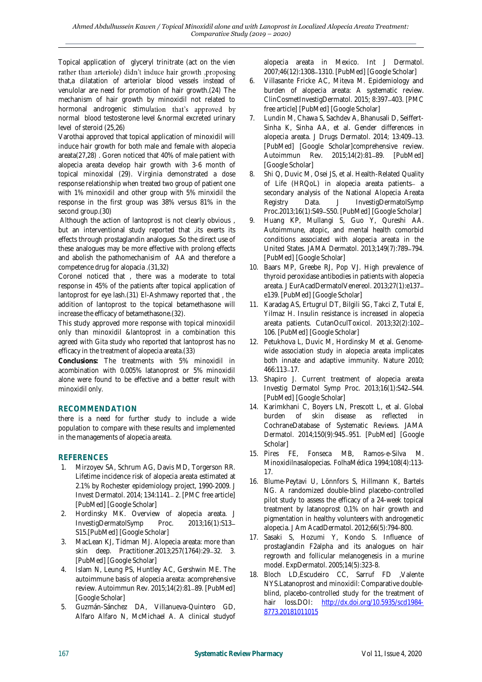Topical application of glyceryl trinitrate (act on the vien rather than arteriole) didn't induce hair growth ,proposing that,a dilatation of arteriolar blood vessels instead of venulolar are need for promotion of hair growth.(24) The mechanism of hair growth by minoxidil not related to hormonal androgenic stimulation that's approved by normal blood testosterone level &normal excreted urinary level of steroid (25,26)

Varothai approved that topical application of minoxidil will induce hair growth for both male and female with alopecia areata(27,28) . Goren noticed that 40% of male patient with alopecia areata develop hair growth with 3-6 month of topical minoxidal (29). Virginia demonstrated a dose response relationship when treated two group of patient one with 1% minoxidil and other group with 5% minxidil the response in the first group was 38% versus 81% in the second group.(30)

Although the action of lantoprost is not clearly obvious , but an interventional study reported that ,its exerts its effects through prostaglandin analogues .So the direct use of these analogues may be more effective with prolong effects and abolish the pathomechanisim of AA and therefore a competence drug for alopacia .(31,32)

Coronel noticed that , there was a moderate to total response in 45% of the patients after topical application of lantoprost for eye lash.(31) El-Ashmawy reported that , the addition of lantoprost to the topical betamethasone will increase the efficacy of betamethasone.(32).

This study approved more response with topical minoxidil only than minoxidil &lantoprost in a combination this agreed with Gita study who reported that lantoprost has no efficacy in the treatment of alopecia areata.(33)

**Conclusions:** The treatments with 5% minoxidil in acombination with 0.005% latanoprost or 5% minoxidil alone were found to be effective and a better result with minoxidil only.

# **RECOMMENDATION**

there is a need for further study to include a wide population to compare with these results and implemented in the managements of alopecia areata.

# **REFERENCES**

- 1. Mirzoyev SA, Schrum AG, Davis MD, Torgerson RR. Lifetime incidence risk of alopecia areata estimated at 2.1% by Rochester epidemiology project, 1990-2009. J Invest Dermatol. 2014; 134:1141 2. [PMC free article] [PubMed] [Google Scholar]
- 2. Hordinsky MK. Overview of alopecia areata. J InvestigDermatolSymp Proc. 2013;16(1):S13 S15.[PubMed] [Google Scholar]
- 3. MacLean KJ, Tidman MJ. Alopecia areata: more than skin deep. Practitioner.2013;257(1764):29-32. 3. [PubMed] [Google Scholar]
- 4. Islam N, Leung PS, Huntley AC, Gershwin ME. The autoimmune basis of alopecia areata: acomprehensive review. Autoimmun Rev. 2015;14(2):81-89. [PubMed] [Google Scholar]
- 5. Guzmán-Sánchez DA, Villanueva-Quintero GD, Alfaro Alfaro N, McMichael A. A clinical studyof

alopecia areata in Mexico. Int J Dermatol. 2007;46(12):1308-1310. [PubMed] [Google Scholar]

- 6. Villasante Fricke AC, Miteva M. Epidemiology and burden of alopecia areata: A systematic review. ClinCosmetInvestigDermatol. 2015; 8:397 403. [PMC free article] [PubMed] [Google Scholar]
- 7. Lundin M, Chawa S, Sachdev A, Bhanusali D, Seiffert-Sinha K, Sinha AA, et al. Gender differences in alopecia areata. J Drugs Dermatol. 2014; 13:409-13. [PubMed] [Google Scholar]comprehensive review. Autoimmun Rev. 2015;14(2):81-89. [PubMed] [Google Scholar]
- 8. Shi Q, Duvic M, Osei JS, et al. Health-Related Quality of Life (HRQoL) in alopecia areata patients- a secondary analysis of the National Alopecia Areata Registry Data. J InvestigDermatolSymp Proc.2013;16(1):S49-S50. [PubMed] [Google Scholar]
- 9. Huang KP, Mullangi S, Guo Y, Qureshi AA. Autoimmune, atopic, and mental health comorbid conditions associated with alopecia areata in the United States. JAMA Dermatol. 2013;149(7):789-794. [PubMed] [Google Scholar]
- 10. Baars MP, Greebe RJ, Pop VJ. High prevalence of thyroid peroxidase antibodies in patients with alopecia areata. J EurAcadDermatolVenereol. 2013;27(1):e137 e139. [PubMed] [Google Scholar]
- 11. Karadag AS, Ertugrul DT, Bilgili SG, Takci Z, Tutal E, Yilmaz H. Insulin resistance is increased in alopecia areata patients. CutanOculToxicol. 2013;32(2):102 106. [PubMed] [Google Scholar]
- 12. Petukhova L, Duvic M, Hordinsky M et al. Genomewide association study in alopecia areata implicates both innate and adaptive immunity. Nature 2010; 466:113-17.
- 13. Shapiro J. Current treatment of alopecia areata Investig Dermatol Symp Proc. 2013;16(1):S42-S44. [PubMed] [Google Scholar]
- 14. Karimkhani C, Boyers LN, Prescott L, et al. Global burden of skin disease as reflected in CochraneDatabase of Systematic Reviews. JAMA Dermatol. 2014;150(9):945-951. [PubMed] [Google Scholar]
- 15. Pires FE, Fonseca MB, Ramos-e-Silva M. Minoxidilnasalopecias. FolhaMédica 1994;108(4):113- 17.
- 16. Blume-Peytavi U, Lönnfors S, Hillmann K, Bartels NG. A randomized double-blind placebo-controlled pilot study to assess the efficacy of a 24-week topical treatment by latanoprost 0,1% on hair growth and pigmentation in healthy volunteers with androgenetic alopecia. J Am AcadDermatol. 2012;66(5):794-800.
- 17. Sasaki S, Hozumi Y, Kondo S. Influence of prostaglandin F2alpha and its analogues on hair regrowth and follicular melanogenesis in a murine model. ExpDermatol. 2005;14(5):323-8.
- 18. Bloch LD,Escudeiro CC, Sarruf FD ,Valente NYS.Latanoprost and minoxidil: Comparative doubleblind, placebo-controlled study for the treatment of hair loss.DOI: [http://dx.doi.org/10.5935/scd1984-](http://dx.doi.org/10.5935/scd1984-8773.20181011015) [8773.20181011015](http://dx.doi.org/10.5935/scd1984-8773.20181011015)